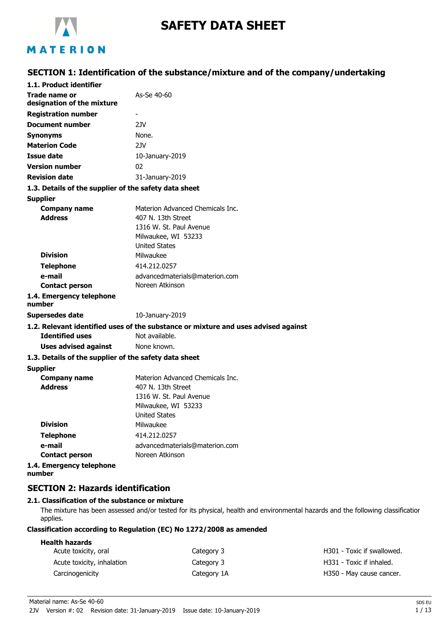

# **SAFETY DATA SHEET**

## MATERION

## **SECTION 1: Identification of the substance/mixture and of the company/undertaking**

| 1.1. Product identifier                               |                                                                                    |
|-------------------------------------------------------|------------------------------------------------------------------------------------|
| Trade name or<br>designation of the mixture           | As-Se 40-60                                                                        |
| <b>Registration number</b>                            |                                                                                    |
| <b>Document number</b>                                | 2.IV                                                                               |
| <b>Synonyms</b>                                       | None.                                                                              |
| <b>Materion Code</b>                                  | 2JV                                                                                |
| Issue date                                            | 10-January-2019                                                                    |
| <b>Version number</b>                                 | 02                                                                                 |
| <b>Revision date</b>                                  | 31-January-2019                                                                    |
| 1.3. Details of the supplier of the safety data sheet |                                                                                    |
| <b>Supplier</b>                                       |                                                                                    |
| <b>Company name</b>                                   | Materion Advanced Chemicals Inc.                                                   |
| <b>Address</b>                                        | 407 N. 13th Street                                                                 |
|                                                       | 1316 W. St. Paul Avenue                                                            |
|                                                       | Milwaukee, WI 53233                                                                |
|                                                       | <b>United States</b>                                                               |
| <b>Division</b>                                       | Milwaukee                                                                          |
| <b>Telephone</b>                                      | 414.212.0257                                                                       |
| e-mail                                                | advancedmaterials@materion.com                                                     |
| <b>Contact person</b>                                 | Noreen Atkinson                                                                    |
| 1.4. Emergency telephone<br>number                    |                                                                                    |
| <b>Supersedes date</b>                                | 10-January-2019                                                                    |
|                                                       | 1.2. Relevant identified uses of the substance or mixture and uses advised against |
| <b>Identified uses</b>                                | Not available.                                                                     |
| <b>Uses advised against</b>                           | None known.                                                                        |
| 1.3. Details of the supplier of the safety data sheet |                                                                                    |
| <b>Supplier</b>                                       |                                                                                    |
| <b>Company name</b>                                   | Materion Advanced Chemicals Inc.                                                   |
| <b>Address</b>                                        | 407 N. 13th Street                                                                 |
|                                                       | 1316 W. St. Paul Avenue                                                            |
|                                                       | Milwaukee, WI 53233                                                                |
|                                                       | United States                                                                      |
| <b>Division</b>                                       | Milwaukee                                                                          |
| <b>Telephone</b>                                      | 414.212.0257                                                                       |
| e-mail                                                | advancedmaterials@materion.com                                                     |
| <b>Contact person</b>                                 | Noreen Atkinson                                                                    |
| 1.4. Emergency telephone<br>number                    |                                                                                    |

## **SECTION 2: Hazards identification**

#### **2.1. Classification of the substance or mixture**

The mixture has been assessed and/or tested for its physical, health and environmental hazards and the following classification applies.

#### **Classification according to Regulation (EC) No 1272/2008 as amended**

| <b>Health hazards</b><br>Acute toxicity, oral | Category 3  | H301 - Toxic if swallowed. |
|-----------------------------------------------|-------------|----------------------------|
| Acute toxicity, inhalation                    | Category 3  | H331 - Toxic if inhaled.   |
| Carcinogenicity                               | Category 1A | H350 - May cause cancer.   |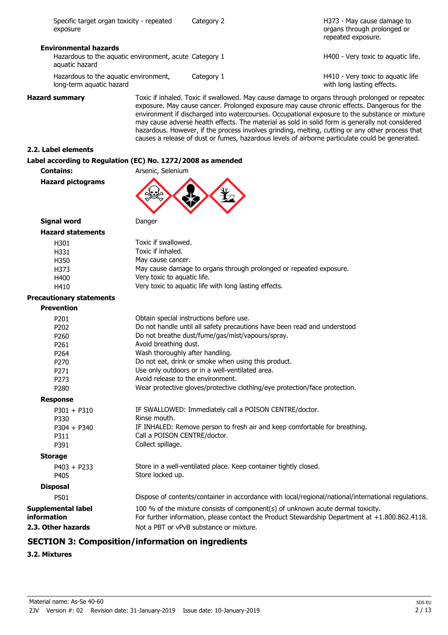| Specific target organ toxicity - repeated<br>exposure                    | Category 2 | H373 - May cause damage to<br>organs through prolonged or<br>repeated exposure. |
|--------------------------------------------------------------------------|------------|---------------------------------------------------------------------------------|
| <b>Environmental hazards</b>                                             |            |                                                                                 |
| Hazardous to the aquatic environment, acute Category 1<br>aquatic hazard |            | H400 - Very toxic to aguatic life.                                              |
| Hazardous to the aquatic environment,<br>long-term aquatic hazard        | Category 1 | H410 - Very toxic to aquatic life<br>with long lasting effects.                 |

**Hazard summary** Toxic if inhaled. Toxic if swallowed. May cause damage to organs through prolonged or repeated exposure. May cause cancer. Prolonged exposure may cause chronic effects. Dangerous for the environment if discharged into watercourses. Occupational exposure to the substance or mixture may cause adverse health effects. The material as sold in solid form is generally not considered hazardous. However, if the process involves grinding, melting, cutting or any other process that causes a release of dust or fumes, hazardous levels of airborne particulate could be generated.

#### **2.2. Label elements**

#### **Label according to Regulation (EC) No. 1272/2008 as amended**

**Contains:** Arsenic, Selenium **Hazard pictograms**



### **Signal word** Danger **Hazard** stat

| ard statements |                                                                    |
|----------------|--------------------------------------------------------------------|
| H301           | Toxic if swallowed.                                                |
| H331           | Toxic if inhaled.                                                  |
| H350           | May cause cancer.                                                  |
| H373           | May cause damage to organs through prolonged or repeated exposure. |
| H400           | Very toxic to aguatic life.                                        |
| H410           | Very toxic to aguatic life with long lasting effects.              |
|                |                                                                    |

#### **Precautionary statements**

| Precautionally Statements                |                                                                                                                                                                                   |
|------------------------------------------|-----------------------------------------------------------------------------------------------------------------------------------------------------------------------------------|
| <b>Prevention</b>                        |                                                                                                                                                                                   |
| P <sub>201</sub>                         | Obtain special instructions before use.                                                                                                                                           |
| P <sub>202</sub>                         | Do not handle until all safety precautions have been read and understood.                                                                                                         |
| P <sub>260</sub>                         | Do not breathe dust/fume/gas/mist/vapours/spray.                                                                                                                                  |
| P <sub>261</sub>                         | Avoid breathing dust.                                                                                                                                                             |
| P <sub>264</sub>                         | Wash thoroughly after handling.                                                                                                                                                   |
| P <sub>270</sub>                         | Do not eat, drink or smoke when using this product.                                                                                                                               |
| P <sub>271</sub>                         | Use only outdoors or in a well-ventilated area.                                                                                                                                   |
| P <sub>273</sub>                         | Avoid release to the environment.                                                                                                                                                 |
| P <sub>280</sub>                         | Wear protective gloves/protective clothing/eye protection/face protection.                                                                                                        |
| <b>Response</b>                          |                                                                                                                                                                                   |
| $P301 + P310$                            | IF SWALLOWED: Immediately call a POISON CENTRE/doctor.                                                                                                                            |
| P330                                     | Rinse mouth.                                                                                                                                                                      |
| $P304 + P340$                            | IF INHALED: Remove person to fresh air and keep comfortable for breathing.                                                                                                        |
| P311                                     | Call a POISON CENTRE/doctor.                                                                                                                                                      |
| P391                                     | Collect spillage.                                                                                                                                                                 |
| <b>Storage</b>                           |                                                                                                                                                                                   |
| $P403 + P233$                            | Store in a well-ventilated place. Keep container tightly closed.                                                                                                                  |
| P405                                     | Store locked up.                                                                                                                                                                  |
| <b>Disposal</b>                          |                                                                                                                                                                                   |
| P501                                     | Dispose of contents/container in accordance with local/regional/national/international regulations.                                                                               |
| <b>Supplemental label</b><br>information | 100 % of the mixture consists of component(s) of unknown acute dermal toxicity.<br>For further information, please contact the Product Stewardship Department at +1.800.862.4118. |
| 2.3. Other hazards                       | Not a PBT or vPvB substance or mixture.                                                                                                                                           |
|                                          |                                                                                                                                                                                   |

## **SECTION 3: Composition/information on ingredients**

## **3.2. Mixtures**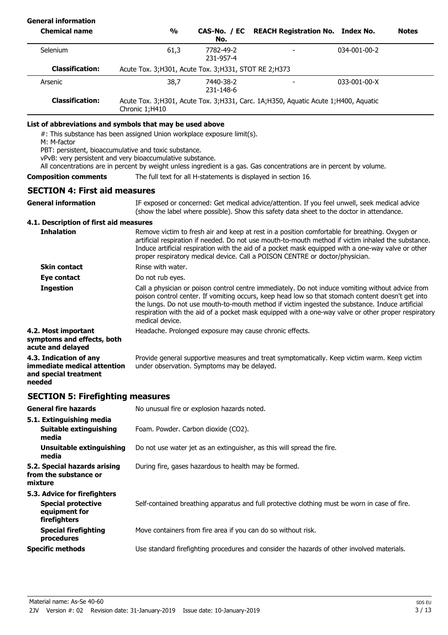## **General information**

| <b>Chemical name</b>   | $\frac{0}{0}$                                           | No.                    | CAS-No. / EC REACH Registration No. Index No.                                      |                      | <b>Notes</b> |
|------------------------|---------------------------------------------------------|------------------------|------------------------------------------------------------------------------------|----------------------|--------------|
| <b>Selenium</b>        | 61,3                                                    | 7782-49-2<br>231-957-4 |                                                                                    | $034 - 001 - 00 - 2$ |              |
| <b>Classification:</b> | Acute Tox. 3; H301, Acute Tox. 3; H331, STOT RE 2; H373 |                        |                                                                                    |                      |              |
| Arsenic                | 38,7                                                    | 7440-38-2<br>231-148-6 |                                                                                    | $033 - 001 - 00 - X$ |              |
| <b>Classification:</b> | Chronic 1;H410                                          |                        | Acute Tox. 3;H301, Acute Tox. 3;H331, Carc. 1A;H350, Aquatic Acute 1;H400, Aquatic |                      |              |
|                        |                                                         |                        |                                                                                    |                      |              |

#### **List of abbreviations and symbols that may be used above**

#: This substance has been assigned Union workplace exposure limit(s).

M: M-factor

PBT: persistent, bioaccumulative and toxic substance.

vPvB: very persistent and very bioaccumulative substance.

All concentrations are in percent by weight unless ingredient is a gas. Gas concentrations are in percent by volume.

#### **Composition comments** The full text for all H-statements is displayed in section 16.

## **SECTION 4: First aid measures**

IF exposed or concerned: Get medical advice/attention. If you feel unwell, seek medical advice (show the label where possible). Show this safety data sheet to the doctor in attendance. **General information 4.1. Description of first aid measures** Remove victim to fresh air and keep at rest in a position comfortable for breathing. Oxygen or artificial respiration if needed. Do not use mouth-to-mouth method if victim inhaled the substance. Induce artificial respiration with the aid of a pocket mask equipped with a one-way valve or other proper respiratory medical device. Call a POISON CENTRE or doctor/physician. **Inhalation Skin contact** Rinse with water. **Eve contact** Do not rub eyes. Call a physician or poison control centre immediately. Do not induce vomiting without advice from poison control center. If vomiting occurs, keep head low so that stomach content doesn't get into the lungs. Do not use mouth-to-mouth method if victim ingested the substance. Induce artificial respiration with the aid of a pocket mask equipped with a one-way valve or other proper respiratory medical device. **Ingestion 4.2. Most important** Headache. Prolonged exposure may cause chronic effects. **symptoms and effects, both acute and delayed** Provide general supportive measures and treat symptomatically. Keep victim warm. Keep victim under observation. Symptoms may be delayed. **4.3. Indication of any immediate medical attention and special treatment**

### **SECTION 5: Firefighting measures**

**needed**

| <b>General fire hazards</b>                                                                | No unusual fire or explosion hazards noted.                                                   |
|--------------------------------------------------------------------------------------------|-----------------------------------------------------------------------------------------------|
| 5.1. Extinguishing media<br>Suitable extinguishing<br>media                                | Foam. Powder. Carbon dioxide (CO2).                                                           |
| <b>Unsuitable extinguishing</b><br>media                                                   | Do not use water jet as an extinguisher, as this will spread the fire.                        |
| 5.2. Special hazards arising<br>from the substance or<br>mixture                           | During fire, gases hazardous to health may be formed.                                         |
| 5.3. Advice for firefighters<br><b>Special protective</b><br>equipment for<br>firefighters | Self-contained breathing apparatus and full protective clothing must be worn in case of fire. |
| <b>Special firefighting</b><br>procedures                                                  | Move containers from fire area if you can do so without risk.                                 |
| <b>Specific methods</b>                                                                    | Use standard firefighting procedures and consider the hazards of other involved materials.    |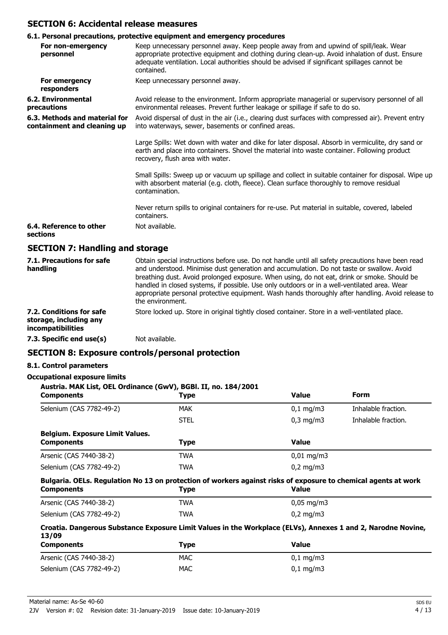### **SECTION 6: Accidental release measures**

### **6.1. Personal precautions, protective equipment and emergency procedures**

| 2.                                                           |                                                                                                                                                                                                                                                                                                        |
|--------------------------------------------------------------|--------------------------------------------------------------------------------------------------------------------------------------------------------------------------------------------------------------------------------------------------------------------------------------------------------|
| For non-emergency<br>personnel                               | Keep unnecessary personnel away. Keep people away from and upwind of spill/leak. Wear<br>appropriate protective equipment and clothing during clean-up. Avoid inhalation of dust. Ensure<br>adequate ventilation. Local authorities should be advised if significant spillages cannot be<br>contained. |
| For emergency<br>responders                                  | Keep unnecessary personnel away.                                                                                                                                                                                                                                                                       |
| 6.2. Environmental<br>precautions                            | Avoid release to the environment. Inform appropriate managerial or supervisory personnel of all<br>environmental releases. Prevent further leakage or spillage if safe to do so.                                                                                                                       |
| 6.3. Methods and material for<br>containment and cleaning up | Avoid dispersal of dust in the air (i.e., clearing dust surfaces with compressed air). Prevent entry<br>into waterways, sewer, basements or confined areas.                                                                                                                                            |
|                                                              | Large Spills: Wet down with water and dike for later disposal. Absorb in vermiculite, dry sand or<br>earth and place into containers. Shovel the material into waste container. Following product<br>recovery, flush area with water.                                                                  |
|                                                              | Small Spills: Sweep up or vacuum up spillage and collect in suitable container for disposal. Wipe up<br>with absorbent material (e.g. cloth, fleece). Clean surface thoroughly to remove residual<br>contamination.                                                                                    |
|                                                              | Never return spills to original containers for re-use. Put material in suitable, covered, labeled<br>containers.                                                                                                                                                                                       |
| 6.4. Reference to other<br>sections                          | Not available.                                                                                                                                                                                                                                                                                         |
| <b>SECTION 7: Handling and storage</b>                       |                                                                                                                                                                                                                                                                                                        |
| 7.1. Precautions for safe                                    | Obtain special instructions before use. Do not handle until all safety precautions have been read                                                                                                                                                                                                      |

| 7.1. Precautions for safe<br>handling                                          | Obtaili special ilistructions before use. Do not hangle until all safety precautions have been read<br>and understood. Minimise dust generation and accumulation. Do not taste or swallow. Avoid<br>breathing dust. Avoid prolonged exposure. When using, do not eat, drink or smoke. Should be<br>handled in closed systems, if possible. Use only outdoors or in a well-ventilated area. Wear<br>appropriate personal protective equipment. Wash hands thoroughly after handling. Avoid release to<br>the environment. |
|--------------------------------------------------------------------------------|--------------------------------------------------------------------------------------------------------------------------------------------------------------------------------------------------------------------------------------------------------------------------------------------------------------------------------------------------------------------------------------------------------------------------------------------------------------------------------------------------------------------------|
| 7.2. Conditions for safe<br>storage, including any<br><i>incompatibilities</i> | Store locked up. Store in original tightly closed container. Store in a well-ventilated place.                                                                                                                                                                                                                                                                                                                                                                                                                           |
| 7.3. Specific end use(s)                                                       | Not available.                                                                                                                                                                                                                                                                                                                                                                                                                                                                                                           |

## **SECTION 8: Exposure controls/personal protection**

### **8.1. Control parameters**

#### **Occupational exposure limits**

| Austria. MAK List, OEL Ordinance (GwV), BGBI. II, no. 184/2001<br><b>Components</b>                                                 | Type        | <b>Value</b>           | <b>Form</b>         |
|-------------------------------------------------------------------------------------------------------------------------------------|-------------|------------------------|---------------------|
| Selenium (CAS 7782-49-2)                                                                                                            | <b>MAK</b>  | $0,1 \, \text{mq/m}$ 3 | Inhalable fraction. |
|                                                                                                                                     | <b>STEL</b> | $0,3$ mg/m $3$         | Inhalable fraction. |
| <b>Belgium. Exposure Limit Values.</b><br><b>Components</b>                                                                         | <b>Type</b> | <b>Value</b>           |                     |
| Arsenic (CAS 7440-38-2)                                                                                                             | <b>TWA</b>  | $0.01 \,\mathrm{mq/m}$ |                     |
| Selenium (CAS 7782-49-2)                                                                                                            | <b>TWA</b>  | $0,2$ mg/m3            |                     |
| Bulgaria. OELs. Regulation No 13 on protection of workers against risks of exposure to chemical agents at work<br><b>Components</b> | <b>Type</b> | <b>Value</b>           |                     |
| Arsenic (CAS 7440-38-2)                                                                                                             | <b>TWA</b>  | $0,05 \,\mathrm{mg/m}$ |                     |
| Selenium (CAS 7782-49-2)                                                                                                            | <b>TWA</b>  | $0,2 \text{ mg/m}$     |                     |
| Croatia. Dangerous Substance Exposure Limit Values in the Workplace (ELVs), Annexes 1 and 2, Narodne Novine,<br>13/09               |             | $V - I - A$            |                     |

| <b>Components</b>        | <b>Type</b> | <b>Value</b>          |
|--------------------------|-------------|-----------------------|
| Arsenic (CAS 7440-38-2)  | <b>MAC</b>  | $0.1 \text{ mg/m}$ 3  |
| Selenium (CAS 7782-49-2) | <b>MAC</b>  | $0,1 \,\mathrm{mg/m}$ |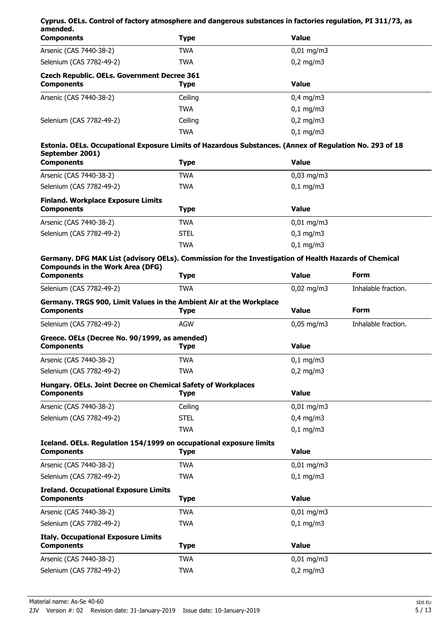| Cyprus. OELs. Control of factory atmosphere and dangerous substances in factories regulation, PI 311/73, as                                                           |             |                     |                     |
|-----------------------------------------------------------------------------------------------------------------------------------------------------------------------|-------------|---------------------|---------------------|
| amended.<br><b>Components</b>                                                                                                                                         | <b>Type</b> | <b>Value</b>        |                     |
| Arsenic (CAS 7440-38-2)                                                                                                                                               | <b>TWA</b>  | $0,01$ mg/m3        |                     |
| Selenium (CAS 7782-49-2)                                                                                                                                              | <b>TWA</b>  | $0,2$ mg/m3         |                     |
| <b>Czech Republic. OELs. Government Decree 361</b><br><b>Components</b>                                                                                               | <b>Type</b> | <b>Value</b>        |                     |
| Arsenic (CAS 7440-38-2)                                                                                                                                               | Ceiling     | $0,4$ mg/m3         |                     |
|                                                                                                                                                                       | <b>TWA</b>  | $0,1$ mg/m3         |                     |
| Selenium (CAS 7782-49-2)                                                                                                                                              | Ceiling     | $0,2$ mg/m3         |                     |
|                                                                                                                                                                       | <b>TWA</b>  | $0,1$ mg/m3         |                     |
| Estonia. OELs. Occupational Exposure Limits of Hazardous Substances. (Annex of Regulation No. 293 of 18<br>September 2001)                                            |             |                     |                     |
| <b>Components</b>                                                                                                                                                     | <b>Type</b> | <b>Value</b>        |                     |
| Arsenic (CAS 7440-38-2)                                                                                                                                               | TWA         | $0,03$ mg/m3        |                     |
| Selenium (CAS 7782-49-2)                                                                                                                                              | <b>TWA</b>  | $0,1$ mg/m3         |                     |
| <b>Finland. Workplace Exposure Limits</b>                                                                                                                             |             |                     |                     |
| <b>Components</b>                                                                                                                                                     | <b>Type</b> | <b>Value</b>        |                     |
| Arsenic (CAS 7440-38-2)                                                                                                                                               | <b>TWA</b>  | $0,01$ mg/m3        |                     |
| Selenium (CAS 7782-49-2)                                                                                                                                              | <b>STEL</b> | $0,3$ mg/m $3$      |                     |
|                                                                                                                                                                       | <b>TWA</b>  | $0,1$ mg/m3         |                     |
| Germany. DFG MAK List (advisory OELs). Commission for the Investigation of Health Hazards of Chemical<br><b>Compounds in the Work Area (DFG)</b><br><b>Components</b> | <b>Type</b> | <b>Value</b>        | Form                |
| Selenium (CAS 7782-49-2)                                                                                                                                              | <b>TWA</b>  | $0,02 \text{ mg/m}$ | Inhalable fraction. |
| Germany. TRGS 900, Limit Values in the Ambient Air at the Workplace                                                                                                   |             |                     |                     |
| <b>Components</b>                                                                                                                                                     | <b>Type</b> | <b>Value</b>        | <b>Form</b>         |
| Selenium (CAS 7782-49-2)                                                                                                                                              | <b>AGW</b>  | $0,05$ mg/m3        | Inhalable fraction. |
| Greece. OELs (Decree No. 90/1999, as amended)<br><b>Components</b>                                                                                                    | <b>Type</b> | <b>Value</b>        |                     |
| Arsenic (CAS 7440-38-2)                                                                                                                                               | <b>TWA</b>  | $0,1$ mg/m3         |                     |
| Selenium (CAS 7782-49-2)                                                                                                                                              | <b>TWA</b>  | $0,2$ mg/m3         |                     |
| Hungary. OELs. Joint Decree on Chemical Safety of Workplaces<br><b>Components</b>                                                                                     | <b>Type</b> | <b>Value</b>        |                     |
|                                                                                                                                                                       |             |                     |                     |
| Arsenic (CAS 7440-38-2)                                                                                                                                               | Ceiling     | $0,01$ mg/m3        |                     |
| Selenium (CAS 7782-49-2)                                                                                                                                              | <b>STEL</b> | $0,4$ mg/m3         |                     |
|                                                                                                                                                                       | <b>TWA</b>  | $0,1$ mg/m3         |                     |
| Iceland. OELs. Regulation 154/1999 on occupational exposure limits<br><b>Components</b>                                                                               | <b>Type</b> | <b>Value</b>        |                     |
| Arsenic (CAS 7440-38-2)                                                                                                                                               | <b>TWA</b>  | $0,01$ mg/m3        |                     |
| Selenium (CAS 7782-49-2)                                                                                                                                              | <b>TWA</b>  | $0,1$ mg/m3         |                     |
| <b>Ireland. Occupational Exposure Limits</b><br><b>Components</b>                                                                                                     | <b>Type</b> | <b>Value</b>        |                     |
| Arsenic (CAS 7440-38-2)                                                                                                                                               | <b>TWA</b>  | $0,01$ mg/m3        |                     |
| Selenium (CAS 7782-49-2)                                                                                                                                              | <b>TWA</b>  | $0,1$ mg/m3         |                     |
| <b>Italy. Occupational Exposure Limits</b>                                                                                                                            |             |                     |                     |
| <b>Components</b>                                                                                                                                                     | <b>Type</b> | <b>Value</b>        |                     |
| Arsenic (CAS 7440-38-2)                                                                                                                                               | <b>TWA</b>  | $0,01$ mg/m3        |                     |
| Selenium (CAS 7782-49-2)                                                                                                                                              | <b>TWA</b>  | $0,2$ mg/m3         |                     |
|                                                                                                                                                                       |             |                     |                     |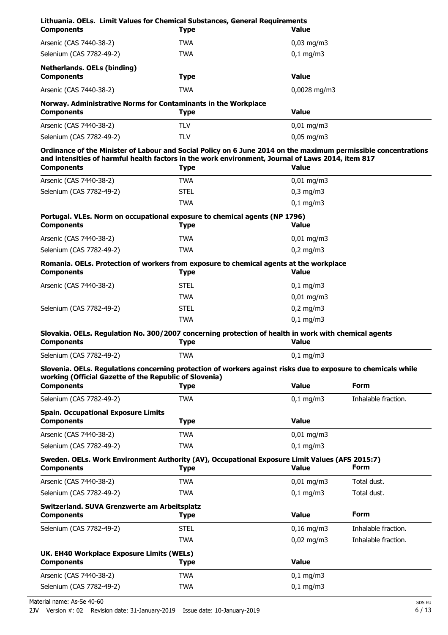| Lithuania. OELs. Limit Values for Chemical Substances, General Requirements<br><b>Components</b>                                                                        | <b>Type</b> | Value                  |                     |
|-------------------------------------------------------------------------------------------------------------------------------------------------------------------------|-------------|------------------------|---------------------|
| Arsenic (CAS 7440-38-2)                                                                                                                                                 | TWA         | $0,03$ mg/m3           |                     |
| Selenium (CAS 7782-49-2)                                                                                                                                                | <b>TWA</b>  | $0,1$ mg/m3            |                     |
| <b>Netherlands. OELs (binding)</b><br><b>Components</b>                                                                                                                 | <b>Type</b> | <b>Value</b>           |                     |
| Arsenic (CAS 7440-38-2)                                                                                                                                                 | <b>TWA</b>  | 0,0028 mg/m3           |                     |
| Norway. Administrative Norms for Contaminants in the Workplace<br><b>Components</b>                                                                                     | <b>Type</b> | <b>Value</b>           |                     |
| Arsenic (CAS 7440-38-2)                                                                                                                                                 | <b>TLV</b>  | $0,01$ mg/m3           |                     |
| Selenium (CAS 7782-49-2)                                                                                                                                                | TLV         | $0,05$ mg/m3           |                     |
| Ordinance of the Minister of Labour and Social Policy on 6 June 2014 on the maximum permissible concentrations                                                          |             |                        |                     |
| and intensities of harmful health factors in the work environment, Journal of Laws 2014, item 817<br><b>Components</b>                                                  | <b>Type</b> | <b>Value</b>           |                     |
| Arsenic (CAS 7440-38-2)                                                                                                                                                 | <b>TWA</b>  | $0,01$ mg/m3           |                     |
| Selenium (CAS 7782-49-2)                                                                                                                                                | <b>STEL</b> | $0,3$ mg/m $3$         |                     |
|                                                                                                                                                                         | <b>TWA</b>  | $0,1$ mg/m3            |                     |
| Portugal. VLEs. Norm on occupational exposure to chemical agents (NP 1796)                                                                                              |             |                        |                     |
| <b>Components</b>                                                                                                                                                       | <b>Type</b> | Value                  |                     |
| Arsenic (CAS 7440-38-2)                                                                                                                                                 | <b>TWA</b>  | $0,01$ mg/m3           |                     |
| Selenium (CAS 7782-49-2)                                                                                                                                                | <b>TWA</b>  | $0,2$ mg/m3            |                     |
| Romania. OELs. Protection of workers from exposure to chemical agents at the workplace<br><b>Components</b>                                                             | <b>Type</b> | <b>Value</b>           |                     |
| Arsenic (CAS 7440-38-2)                                                                                                                                                 | <b>STEL</b> | $0,1$ mg/m3            |                     |
|                                                                                                                                                                         | <b>TWA</b>  | $0,01$ mg/m3           |                     |
| Selenium (CAS 7782-49-2)                                                                                                                                                | <b>STEL</b> | $0,2$ mg/m3            |                     |
|                                                                                                                                                                         | <b>TWA</b>  | $0,1$ mg/m3            |                     |
| Slovakia. OELs. Regulation No. 300/2007 concerning protection of health in work with chemical agents<br><b>Components</b>                                               | <b>Type</b> | <b>Value</b>           |                     |
| Selenium (CAS 7782-49-2)                                                                                                                                                | <b>TWA</b>  | $0,1$ mg/m3            |                     |
| Slovenia. OELs. Regulations concerning protection of workers against risks due to exposure to chemicals while<br>working (Official Gazette of the Republic of Slovenia) |             |                        |                     |
| <b>Components</b>                                                                                                                                                       | <b>Type</b> | <b>Value</b>           | Form                |
| Selenium (CAS 7782-49-2)                                                                                                                                                | <b>TWA</b>  | $0,1$ mg/m $3$         | Inhalable fraction. |
| <b>Spain. Occupational Exposure Limits</b><br><b>Components</b>                                                                                                         | <b>Type</b> | <b>Value</b>           |                     |
| Arsenic (CAS 7440-38-2)                                                                                                                                                 | <b>TWA</b>  | $0,01$ mg/m3           |                     |
| Selenium (CAS 7782-49-2)                                                                                                                                                | <b>TWA</b>  | $0,1$ mg/m3            |                     |
| Sweden. OELs. Work Environment Authority (AV), Occupational Exposure Limit Values (AFS 2015:7)<br><b>Components</b>                                                     | <b>Type</b> | <b>Value</b>           | <b>Form</b>         |
| Arsenic (CAS 7440-38-2)                                                                                                                                                 | <b>TWA</b>  | $0,01 \,\mathrm{mg/m}$ | Total dust.         |
| Selenium (CAS 7782-49-2)                                                                                                                                                | <b>TWA</b>  | $0,1$ mg/m3            | Total dust.         |
| Switzerland. SUVA Grenzwerte am Arbeitsplatz<br><b>Components</b>                                                                                                       | <b>Type</b> | <b>Value</b>           | <b>Form</b>         |
| Selenium (CAS 7782-49-2)                                                                                                                                                | <b>STEL</b> | $0,16$ mg/m3           | Inhalable fraction. |
|                                                                                                                                                                         | <b>TWA</b>  | $0,02$ mg/m3           | Inhalable fraction. |
| UK. EH40 Workplace Exposure Limits (WELs)                                                                                                                               |             |                        |                     |
| <b>Components</b>                                                                                                                                                       | <b>Type</b> | <b>Value</b>           |                     |
| Arsenic (CAS 7440-38-2)                                                                                                                                                 | <b>TWA</b>  | $0,1$ mg/m3            |                     |
| Selenium (CAS 7782-49-2)                                                                                                                                                | <b>TWA</b>  | $0,1$ mg/m3            |                     |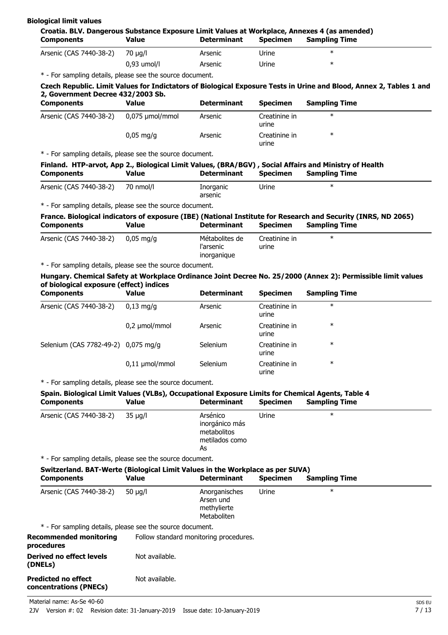| <b>Biological limit values</b> |  |
|--------------------------------|--|
|--------------------------------|--|

| Croatia. BLV. Dangerous Substance Exposure Limit Values at Workplace, Annexes 4 (as amended)<br><b>Components</b>                                                                                                                                                                                                                                                                                                                                                                                                                                                               | <b>Value</b>        | <b>Determinant</b>                                                | <b>Specimen</b>        | <b>Sampling Time</b>                                                                                                          |
|---------------------------------------------------------------------------------------------------------------------------------------------------------------------------------------------------------------------------------------------------------------------------------------------------------------------------------------------------------------------------------------------------------------------------------------------------------------------------------------------------------------------------------------------------------------------------------|---------------------|-------------------------------------------------------------------|------------------------|-------------------------------------------------------------------------------------------------------------------------------|
| Arsenic (CAS 7440-38-2)                                                                                                                                                                                                                                                                                                                                                                                                                                                                                                                                                         | 70 µg/l             | Arsenic                                                           | Urine                  | $\ast$                                                                                                                        |
|                                                                                                                                                                                                                                                                                                                                                                                                                                                                                                                                                                                 | 0,93 umol/l         | Arsenic                                                           | Urine                  | $\ast$                                                                                                                        |
| * - For sampling details, please see the source document.                                                                                                                                                                                                                                                                                                                                                                                                                                                                                                                       |                     |                                                                   |                        |                                                                                                                               |
| 2, Government Decree 432/2003 Sb.                                                                                                                                                                                                                                                                                                                                                                                                                                                                                                                                               |                     |                                                                   |                        | Czech Republic. Limit Values for Indictators of Biological Exposure Tests in Urine and Blood, Annex 2, Tables 1 and           |
| <b>Components</b>                                                                                                                                                                                                                                                                                                                                                                                                                                                                                                                                                               | <b>Value</b>        | <b>Determinant</b>                                                | <b>Specimen</b>        | <b>Sampling Time</b>                                                                                                          |
| Arsenic (CAS 7440-38-2)                                                                                                                                                                                                                                                                                                                                                                                                                                                                                                                                                         | 0,075 µmol/mmol     | Arsenic                                                           | Creatinine in<br>urine | $\ast$                                                                                                                        |
|                                                                                                                                                                                                                                                                                                                                                                                                                                                                                                                                                                                 | $0,05$ mg/g         | Arsenic                                                           | Creatinine in<br>urine | $\ast$                                                                                                                        |
| * - For sampling details, please see the source document.                                                                                                                                                                                                                                                                                                                                                                                                                                                                                                                       |                     |                                                                   |                        |                                                                                                                               |
| <b>Components</b>                                                                                                                                                                                                                                                                                                                                                                                                                                                                                                                                                               | <b>Value</b>        | <b>Determinant</b>                                                | <b>Specimen</b>        | Finland. HTP-arvot, App 2., Biological Limit Values, (BRA/BGV), Social Affairs and Ministry of Health<br><b>Sampling Time</b> |
| Arsenic (CAS 7440-38-2)                                                                                                                                                                                                                                                                                                                                                                                                                                                                                                                                                         | 70 nmol/l           | Inorganic<br>arsenic                                              | Urine                  | $\ast$                                                                                                                        |
| * - For sampling details, please see the source document.                                                                                                                                                                                                                                                                                                                                                                                                                                                                                                                       |                     |                                                                   |                        |                                                                                                                               |
|                                                                                                                                                                                                                                                                                                                                                                                                                                                                                                                                                                                 |                     |                                                                   |                        | France. Biological indicators of exposure (IBE) (National Institute for Research and Security (INRS, ND 2065)                 |
| <b>Components</b>                                                                                                                                                                                                                                                                                                                                                                                                                                                                                                                                                               | <b>Value</b>        | <b>Determinant</b>                                                | <b>Specimen</b>        | <b>Sampling Time</b>                                                                                                          |
| Arsenic (CAS 7440-38-2)                                                                                                                                                                                                                                                                                                                                                                                                                                                                                                                                                         | $0,05$ mg/g         | Métabolites de<br>l'arsenic                                       | Creatinine in<br>urine | $\ast$                                                                                                                        |
|                                                                                                                                                                                                                                                                                                                                                                                                                                                                                                                                                                                 |                     | inorganique                                                       |                        |                                                                                                                               |
|                                                                                                                                                                                                                                                                                                                                                                                                                                                                                                                                                                                 |                     |                                                                   |                        |                                                                                                                               |
|                                                                                                                                                                                                                                                                                                                                                                                                                                                                                                                                                                                 |                     |                                                                   |                        | Hungary. Chemical Safety at Workplace Ordinance Joint Decree No. 25/2000 (Annex 2): Permissible limit values                  |
|                                                                                                                                                                                                                                                                                                                                                                                                                                                                                                                                                                                 |                     |                                                                   |                        |                                                                                                                               |
|                                                                                                                                                                                                                                                                                                                                                                                                                                                                                                                                                                                 | <b>Value</b>        | <b>Determinant</b>                                                | <b>Specimen</b>        | <b>Sampling Time</b>                                                                                                          |
|                                                                                                                                                                                                                                                                                                                                                                                                                                                                                                                                                                                 | $0,13$ mg/g         | Arsenic                                                           | Creatinine in<br>urine | $\ast$                                                                                                                        |
|                                                                                                                                                                                                                                                                                                                                                                                                                                                                                                                                                                                 | 0,2 µmol/mmol       | Arsenic                                                           | Creatinine in<br>urine | $\ast$                                                                                                                        |
|                                                                                                                                                                                                                                                                                                                                                                                                                                                                                                                                                                                 |                     | Selenium                                                          | Creatinine in<br>urine | $\ast$                                                                                                                        |
|                                                                                                                                                                                                                                                                                                                                                                                                                                                                                                                                                                                 | $0,11 \mu$ mol/mmol | Selenium                                                          | Creatinine in<br>urine | $\ast$                                                                                                                        |
|                                                                                                                                                                                                                                                                                                                                                                                                                                                                                                                                                                                 |                     |                                                                   |                        |                                                                                                                               |
|                                                                                                                                                                                                                                                                                                                                                                                                                                                                                                                                                                                 |                     |                                                                   |                        |                                                                                                                               |
|                                                                                                                                                                                                                                                                                                                                                                                                                                                                                                                                                                                 | <b>Value</b>        | <b>Determinant</b>                                                | <b>Specimen</b>        | <b>Sampling Time</b>                                                                                                          |
|                                                                                                                                                                                                                                                                                                                                                                                                                                                                                                                                                                                 | $35 \mu g/l$        | Arsénico<br>inorgánico más<br>metabolitos<br>metilados como<br>As | Urine                  | $\ast$                                                                                                                        |
|                                                                                                                                                                                                                                                                                                                                                                                                                                                                                                                                                                                 |                     |                                                                   |                        |                                                                                                                               |
|                                                                                                                                                                                                                                                                                                                                                                                                                                                                                                                                                                                 |                     |                                                                   |                        |                                                                                                                               |
| * - For sampling details, please see the source document.<br>of biological exposure (effect) indices<br><b>Components</b><br>Arsenic (CAS 7440-38-2)<br>Selenium (CAS 7782-49-2) 0,075 mg/g<br>* - For sampling details, please see the source document.<br>Spain. Biological Limit Values (VLBs), Occupational Exposure Limits for Chemical Agents, Table 4<br><b>Components</b><br>Arsenic (CAS 7440-38-2)<br>* - For sampling details, please see the source document.<br>Switzerland. BAT-Werte (Biological Limit Values in the Workplace as per SUVA)<br><b>Components</b> | <b>Value</b>        | <b>Determinant</b>                                                | <b>Specimen</b>        | <b>Sampling Time</b>                                                                                                          |

Metaboliten

\* - For sampling details, please see the source document.

**Recommended monitoring** Follow standard monitoring procedures.

| procedures                                           |                |
|------------------------------------------------------|----------------|
| Derived no effect levels<br>(DNELs)                  | Not available. |
| <b>Predicted no effect</b><br>concentrations (PNECs) | Not available. |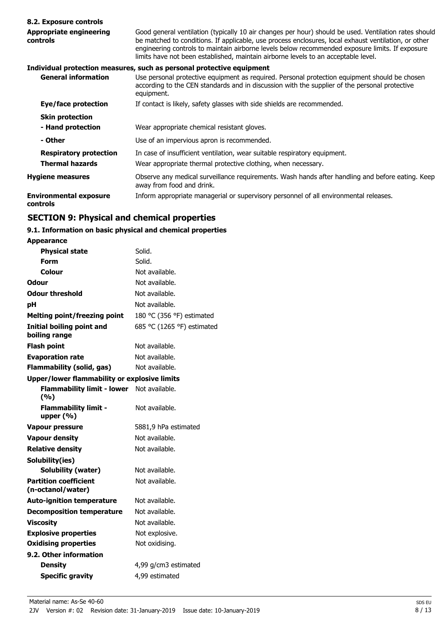#### **8.2. Exposure controls**

#### Good general ventilation (typically 10 air changes per hour) should be used. Ventilation rates should be matched to conditions. If applicable, use process enclosures, local exhaust ventilation, or other engineering controls to maintain airborne levels below recommended exposure limits. If exposure limits have not been established, maintain airborne levels to an acceptable level. **Appropriate engineering controls Individual protection measures, such as personal protective equipment** Use personal protective equipment as required. Personal protection equipment should be chosen according to the CEN standards and in discussion with the supplier of the personal protective **General information**

|                                           | equipment.                                                                                                                    |
|-------------------------------------------|-------------------------------------------------------------------------------------------------------------------------------|
| Eye/face protection                       | If contact is likely, safety glasses with side shields are recommended.                                                       |
| <b>Skin protection</b>                    |                                                                                                                               |
| - Hand protection                         | Wear appropriate chemical resistant gloves.                                                                                   |
| - Other                                   | Use of an impervious apron is recommended.                                                                                    |
| <b>Respiratory protection</b>             | In case of insufficient ventilation, wear suitable respiratory equipment.                                                     |
| <b>Thermal hazards</b>                    | Wear appropriate thermal protective clothing, when necessary.                                                                 |
| <b>Hygiene measures</b>                   | Observe any medical surveillance requirements. Wash hands after handling and before eating. Keep<br>away from food and drink. |
| <b>Environmental exposure</b><br>controls | Inform appropriate managerial or supervisory personnel of all environmental releases.                                         |

## **SECTION 9: Physical and chemical properties**

### **9.1. Information on basic physical and chemical properties**

**Appearance**

| <b>Physical state</b>                               | Solid.                     |
|-----------------------------------------------------|----------------------------|
| Form                                                | Solid.                     |
| Colour                                              | Not available.             |
| <b>Odour</b>                                        | Not available.             |
| <b>Odour threshold</b>                              | Not available.             |
| рH                                                  | Not available.             |
| <b>Melting point/freezing point</b>                 | 180 °C (356 °F) estimated  |
| Initial boiling point and<br>boiling range          | 685 °C (1265 °F) estimated |
| <b>Flash point</b>                                  | Not available.             |
| <b>Evaporation rate</b>                             | Not available.             |
| <b>Flammability (solid, gas)</b>                    | Not available.             |
| <b>Upper/lower flammability or explosive limits</b> |                            |
| <b>Flammability limit - lower</b><br>(%)            | Not available.             |
| <b>Flammability limit -</b><br>upper $(% )$         | Not available.             |
| <b>Vapour pressure</b>                              | 5881,9 hPa estimated       |
| <b>Vapour density</b>                               | Not available.             |
| <b>Relative density</b>                             | Not available.             |
| Solubility(ies)                                     |                            |
| Solubility (water)                                  | Not available.             |
| <b>Partition coefficient</b><br>(n-octanol/water)   | Not available.             |
| <b>Auto-ignition temperature</b>                    | Not available.             |
| <b>Decomposition temperature</b>                    | Not available.             |
| <b>Viscosity</b>                                    | Not available.             |
| <b>Explosive properties</b>                         | Not explosive.             |
| <b>Oxidising properties</b>                         | Not oxidising.             |
| 9.2. Other information                              |                            |
| <b>Density</b>                                      | 4,99 g/cm3 estimated       |
| <b>Specific gravity</b>                             | 4,99 estimated             |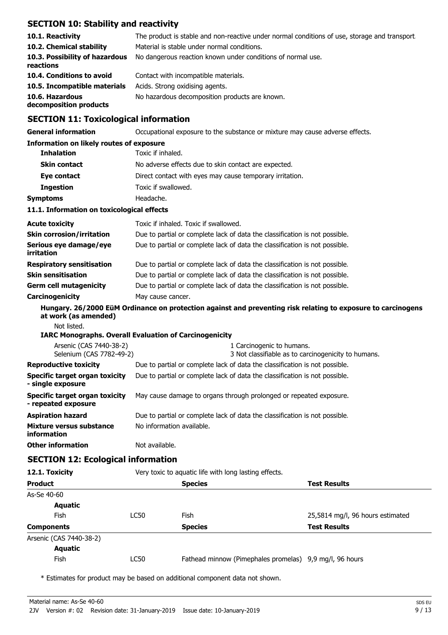## **SECTION 10: Stability and reactivity**

| 10.1. Reactivity<br>10.2. Chemical stability | The product is stable and non-reactive under normal conditions of use, storage and transport.<br>Material is stable under normal conditions. |
|----------------------------------------------|----------------------------------------------------------------------------------------------------------------------------------------------|
| 10.3. Possibility of hazardous<br>reactions  | No dangerous reaction known under conditions of normal use.                                                                                  |
| 10.4. Conditions to avoid                    | Contact with incompatible materials.                                                                                                         |
| 10.5. Incompatible materials                 | Acids. Strong oxidising agents.                                                                                                              |
| 10.6. Hazardous<br>decomposition products    | No hazardous decomposition products are known.                                                                                               |

## **SECTION 11: Toxicological information**

| <b>General information</b>                                    | Occupational exposure to the substance or mixture may cause adverse effects. |                                       |                                                                                                              |  |  |
|---------------------------------------------------------------|------------------------------------------------------------------------------|---------------------------------------|--------------------------------------------------------------------------------------------------------------|--|--|
| <b>Information on likely routes of exposure</b>               |                                                                              |                                       |                                                                                                              |  |  |
| <b>Inhalation</b>                                             | Toxic if inhaled.                                                            |                                       |                                                                                                              |  |  |
| <b>Skin contact</b>                                           | No adverse effects due to skin contact are expected.                         |                                       |                                                                                                              |  |  |
| Eye contact                                                   | Direct contact with eyes may cause temporary irritation.                     |                                       |                                                                                                              |  |  |
| <b>Ingestion</b>                                              | Toxic if swallowed.                                                          |                                       |                                                                                                              |  |  |
| <b>Symptoms</b>                                               | Headache.                                                                    |                                       |                                                                                                              |  |  |
| 11.1. Information on toxicological effects                    |                                                                              |                                       |                                                                                                              |  |  |
| <b>Acute toxicity</b>                                         |                                                                              | Toxic if inhaled. Toxic if swallowed. |                                                                                                              |  |  |
| <b>Skin corrosion/irritation</b>                              |                                                                              |                                       | Due to partial or complete lack of data the classification is not possible.                                  |  |  |
| Serious eye damage/eye<br>irritation                          | Due to partial or complete lack of data the classification is not possible.  |                                       |                                                                                                              |  |  |
| <b>Respiratory sensitisation</b>                              |                                                                              |                                       | Due to partial or complete lack of data the classification is not possible.                                  |  |  |
| <b>Skin sensitisation</b>                                     |                                                                              |                                       | Due to partial or complete lack of data the classification is not possible.                                  |  |  |
| <b>Germ cell mutagenicity</b>                                 | Due to partial or complete lack of data the classification is not possible.  |                                       |                                                                                                              |  |  |
| Carcinogenicity                                               | May cause cancer.                                                            |                                       |                                                                                                              |  |  |
| at work (as amended)                                          |                                                                              |                                       | Hungary. 26/2000 EüM Ordinance on protection against and preventing risk relating to exposure to carcinogens |  |  |
| Not listed.                                                   |                                                                              |                                       |                                                                                                              |  |  |
| <b>IARC Monographs. Overall Evaluation of Carcinogenicity</b> |                                                                              |                                       |                                                                                                              |  |  |
| Arsenic (CAS 7440-38-2)<br>Selenium (CAS 7782-49-2)           |                                                                              |                                       | 1 Carcinogenic to humans.<br>3 Not classifiable as to carcinogenicity to humans.                             |  |  |
| <b>Reproductive toxicity</b>                                  | Due to partial or complete lack of data the classification is not possible.  |                                       |                                                                                                              |  |  |
| <b>Specific target organ toxicity</b><br>- single exposure    | Due to partial or complete lack of data the classification is not possible.  |                                       |                                                                                                              |  |  |
| <b>Specific target organ toxicity</b><br>- repeated exposure  | May cause damage to organs through prolonged or repeated exposure.           |                                       |                                                                                                              |  |  |
| <b>Aspiration hazard</b>                                      | Due to partial or complete lack of data the classification is not possible.  |                                       |                                                                                                              |  |  |
| Mixture versus substance<br><b>information</b>                | No information available.                                                    |                                       |                                                                                                              |  |  |
| <b>Other information</b>                                      | Not available.                                                               |                                       |                                                                                                              |  |  |
| <b>SECTION 12: Ecological information</b>                     |                                                                              |                                       |                                                                                                              |  |  |
| 12.1. Toxicity                                                | Very toxic to aquatic life with long lasting effects.                        |                                       |                                                                                                              |  |  |
| <b>Product</b>                                                |                                                                              | <b>Species</b>                        | <b>Test Results</b>                                                                                          |  |  |
| As-Se 40-60                                                   |                                                                              |                                       |                                                                                                              |  |  |
| <b>Aquatic</b>                                                |                                                                              |                                       |                                                                                                              |  |  |
| Fish                                                          | <b>LC50</b>                                                                  | Fish                                  | 25,5814 mg/l, 96 hours estimated                                                                             |  |  |
| <b>Components</b>                                             |                                                                              | <b>Species</b>                        | <b>Test Results</b>                                                                                          |  |  |

Arsenic (CAS 7440-38-2)

# **Aquatic**

Fish LC50 Fathead minnow (Pimephales promelas) 9,9 mg/l, 96 hours

\* Estimates for product may be based on additional component data not shown.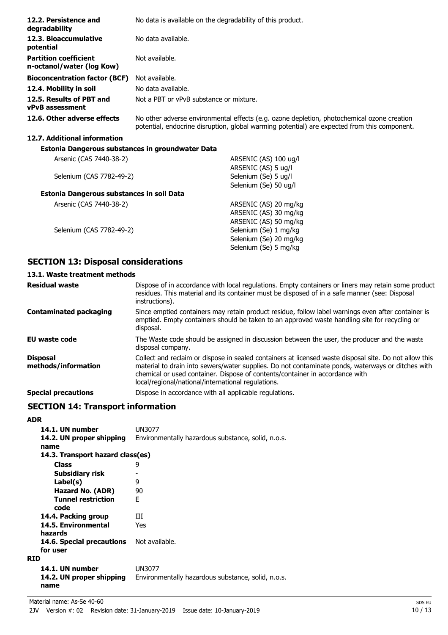| 12.2. Persistence and<br>degradability                    | No data is available on the degradability of this product.                                                                                                                                 |  |  |
|-----------------------------------------------------------|--------------------------------------------------------------------------------------------------------------------------------------------------------------------------------------------|--|--|
| 12.3. Bioaccumulative<br>potential                        | No data available.                                                                                                                                                                         |  |  |
| <b>Partition coefficient</b><br>n-octanol/water (log Kow) | Not available.                                                                                                                                                                             |  |  |
| <b>Bioconcentration factor (BCF)</b>                      | Not available.                                                                                                                                                                             |  |  |
| 12.4. Mobility in soil                                    | No data available.                                                                                                                                                                         |  |  |
| 12.5. Results of PBT and<br><b>vPvB</b> assessment        | Not a PBT or vPvB substance or mixture.                                                                                                                                                    |  |  |
| 12.6. Other adverse effects                               | No other adverse environmental effects (e.g. ozone depletion, photochemical ozone creation<br>potential, endocrine disruption, global warming potential) are expected from this component. |  |  |
| 12.7. Additional information                              |                                                                                                                                                                                            |  |  |
| Estonia Dangerous substances in groundwater Data          |                                                                                                                                                                                            |  |  |
| Arsenic (CAS 7440-38-2)                                   | ARSENIC (AS) 100 ug/l                                                                                                                                                                      |  |  |
|                                                           | ARSENIC (AS) 5 ug/l                                                                                                                                                                        |  |  |
| Selenium (CAS 7782-49-2)                                  | Selenium (Se) 5 ug/l                                                                                                                                                                       |  |  |
|                                                           | Selenium (Se) 50 ug/l                                                                                                                                                                      |  |  |
| Estonia Dangerous substances in soil Data                 |                                                                                                                                                                                            |  |  |
| Arsenic (CAS 7440-38-2)                                   | ARSENIC (AS) 20 mg/kg                                                                                                                                                                      |  |  |
|                                                           | ARSENIC (AS) 30 mg/kg                                                                                                                                                                      |  |  |

Selenium (CAS 7782-49-2) Selenium (Se) 1 mg/kg

## **SECTION 13: Disposal considerations**

## **13.1. Waste treatment methods**

| <b>Residual waste</b>                  | Dispose of in accordance with local regulations. Empty containers or liners may retain some product<br>residues. This material and its container must be disposed of in a safe manner (see: Disposal<br>instructions).                                                                                                                            |
|----------------------------------------|---------------------------------------------------------------------------------------------------------------------------------------------------------------------------------------------------------------------------------------------------------------------------------------------------------------------------------------------------|
| <b>Contaminated packaging</b>          | Since emptied containers may retain product residue, follow label warnings even after container is<br>emptied. Empty containers should be taken to an approved waste handling site for recycling or<br>disposal.                                                                                                                                  |
| EU waste code                          | The Waste code should be assigned in discussion between the user, the producer and the waste<br>disposal company.                                                                                                                                                                                                                                 |
| <b>Disposal</b><br>methods/information | Collect and reclaim or dispose in sealed containers at licensed waste disposal site. Do not allow this<br>material to drain into sewers/water supplies. Do not contaminate ponds, waterways or ditches with<br>chemical or used container. Dispose of contents/container in accordance with<br>local/regional/national/international regulations. |
| <b>Special precautions</b>             | Dispose in accordance with all applicable regulations.                                                                                                                                                                                                                                                                                            |

ARSENIC (AS) 50 mg/kg

Selenium (Se) 20 mg/kg Selenium (Se) 5 mg/kg

## **SECTION 14: Transport information**

#### **ADR**

| 14.1. UN number                  | UN3077                                             |
|----------------------------------|----------------------------------------------------|
| 14.2. UN proper shipping         | Environmentally hazardous substance, solid, n.o.s. |
| name                             |                                                    |
| 14.3. Transport hazard class(es) |                                                    |
| <b>Class</b>                     | 9                                                  |
| Subsidiary risk                  |                                                    |
| Label(s)                         | 9                                                  |
| Hazard No. (ADR)                 | 90                                                 |
| <b>Tunnel restriction</b>        | F                                                  |
| code                             |                                                    |
| 14.4. Packing group              | Ш                                                  |
| 14.5. Environmental              | Yes                                                |
| hazards                          |                                                    |
| 14.6. Special precautions        | Not available.                                     |
| for user                         |                                                    |
| <b>RID</b>                       |                                                    |
| 14.1. UN number                  | UN3077                                             |
| 14.2. UN proper shipping<br>name | Environmentally hazardous substance, solid, n.o.s. |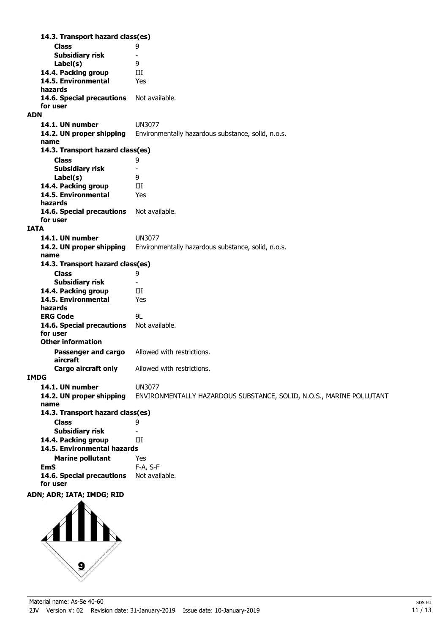**Class** 9 **14.3. Transport hazard class(es) Subsidiary risk** - **Label(s)** 9 14.4. Packing group **III 14.5. Environmental** Yes **hazards** 14.6. Special precautions Not available. **for user ADN 14.1. UN number** UN3077 **14.2. UN proper shipping** Environmentally hazardous substance, solid, n.o.s. **name Class** 9 **14.3. Transport hazard class(es) Subsidiary risk** -<br>**Label(s)** 9 Label(s) 14.4. Packing group **III 14.5. Environmental** Yes **hazards** 14.6. Special precautions Not available. **for user IATA 14.1. UN number** UN3077 **14.2. UN proper shipping** Environmentally hazardous substance, solid, n.o.s. **name Class** 9 **14.3. Transport hazard class(es) Subsidiary risk** - 14.4. Packing group **III 14.5. Environmental** Yes **hazards ERG Code** 9L 14.6. Special precautions Not available. **for user Passenger and cargo** Allowed with restrictions. **aircraft Other information Cargo aircraft only** Allowed with restrictions. **IMDG 14.1. UN number** UN3077 **14.2. UN proper shipping** ENVIRONMENTALLY HAZARDOUS SUBSTANCE, SOLID, N.O.S., MARINE POLLUTANT **name Class** 9 **14.3. Transport hazard class(es) Subsidiary risk** - **14.4. Packing group III Marine pollutant** Yes **14.5. Environmental hazards EmS** F-A, S-F 14.6. Special precautions Not available. **for user ADN; ADR; IATA; IMDG; RID**

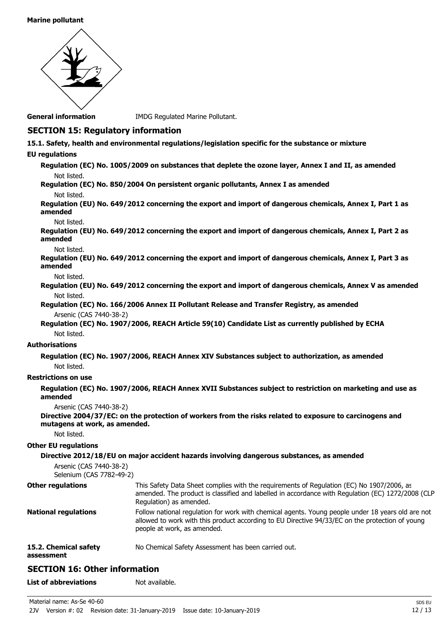#### **Marine pollutant**



**General information IMDG Regulated Marine Pollutant.** 

## **SECTION 15: Regulatory information**

- **15.1. Safety, health and environmental regulations/legislation specific for the substance or mixture**
- **EU regulations**

**Regulation (EC) No. 1005/2009 on substances that deplete the ozone layer, Annex I and II, as amended** Not listed.

**Regulation (EC) No. 850/2004 On persistent organic pollutants, Annex I as amended** Not listed.

**Regulation (EU) No. 649/2012 concerning the export and import of dangerous chemicals, Annex I, Part 1 as amended**

#### Not listed.

**Regulation (EU) No. 649/2012 concerning the export and import of dangerous chemicals, Annex I, Part 2 as amended**

#### Not listed.

**Regulation (EU) No. 649/2012 concerning the export and import of dangerous chemicals, Annex I, Part 3 as amended**

Not listed.

**Regulation (EU) No. 649/2012 concerning the export and import of dangerous chemicals, Annex V as amended** Not listed.

**Regulation (EC) No. 166/2006 Annex II Pollutant Release and Transfer Registry, as amended** Arsenic (CAS 7440-38-2)

**Regulation (EC) No. 1907/2006, REACH Article 59(10) Candidate List as currently published by ECHA** Not listed.

### **Authorisations**

**Regulation (EC) No. 1907/2006, REACH Annex XIV Substances subject to authorization, as amended** Not listed.

#### **Restrictions on use**

**Regulation (EC) No. 1907/2006, REACH Annex XVII Substances subject to restriction on marketing and use as amended**

Arsenic (CAS 7440-38-2)

**Directive 2004/37/EC: on the protection of workers from the risks related to exposure to carcinogens and mutagens at work, as amended.**

Not listed.

#### **Other EU regulations**

**Directive 2012/18/EU on major accident hazards involving dangerous substances, as amended** Arsenic (CAS 7440-38-2) Selenium (CAS 7782-49-2) This Safety Data Sheet complies with the requirements of Regulation (EC) No 1907/2006, as amended. The product is classified and labelled in accordance with Regulation (EC) 1272/2008 (CLP Regulation) as amended. **Other regulations** Follow national regulation for work with chemical agents. Young people under 18 years old are not allowed to work with this product according to EU Directive 94/33/EC on the protection of young people at work, as amended. **National regulations 15.2. Chemical safety** No Chemical Safety Assessment has been carried out.

**assessment**

## **SECTION 16: Other information**

**List of abbreviations** Not available.